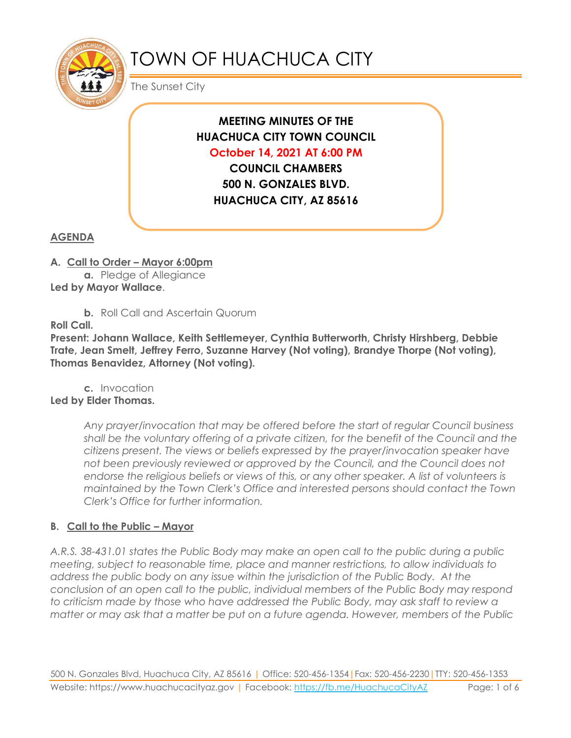

# TOWN OF HUACHUCA CITY

The Sunset City

# **MEETING MINUTES OF THE HUACHUCA CITY TOWN COUNCIL October 14, 2021 AT 6:00 PM**

**COUNCIL CHAMBERS 500 N. GONZALES BLVD. HUACHUCA CITY, AZ 85616**

## **AGENDA**

#### **A. Call to Order – Mayor 6:00pm**

**a.** Pledge of Allegiance **Led by Mayor Wallace**.

**b.** Roll Call and Ascertain Quorum

**Roll Call.**

**Present: Johann Wallace, Keith Settlemeyer, Cynthia Butterworth, Christy Hirshberg, Debbie Trate, Jean Smelt, Jeffrey Ferro, Suzanne Harvey (Not voting), Brandye Thorpe (Not voting), Thomas Benavidez, Attorney (Not voting).**

**c.** Invocation **Led by Elder Thomas.**

> *Any prayer/invocation that may be offered before the start of regular Council business shall be the voluntary offering of a private citizen, for the benefit of the Council and the citizens present. The views or beliefs expressed by the prayer/invocation speaker have not been previously reviewed or approved by the Council, and the Council does not endorse the religious beliefs or views of this, or any other speaker. A list of volunteers is maintained by the Town Clerk's Office and interested persons should contact the Town Clerk's Office for further information.*

# **B. Call to the Public – Mayor**

*A.R.S. 38-431.01 states the Public Body may make an open call to the public during a public meeting, subject to reasonable time, place and manner restrictions, to allow individuals to address the public body on any issue within the jurisdiction of the Public Body. At the conclusion of an open call to the public, individual members of the Public Body may respond to criticism made by those who have addressed the Public Body, may ask staff to review a matter or may ask that a matter be put on a future agenda. However, members of the Public*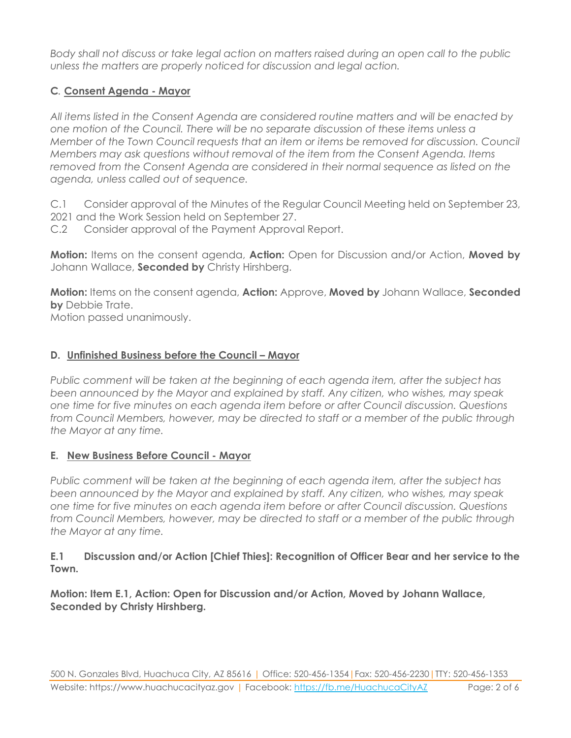*Body shall not discuss or take legal action on matters raised during an open call to the public unless the matters are properly noticed for discussion and legal action.*

## **C***.* **Consent Agenda - Mayor**

*All items listed in the Consent Agenda are considered routine matters and will be enacted by one motion of the Council. There will be no separate discussion of these items unless a Member of the Town Council requests that an item or items be removed for discussion. Council Members may ask questions without removal of the item from the Consent Agenda. Items removed from the Consent Agenda are considered in their normal sequence as listed on the agenda, unless called out of sequence.*

C.1 Consider approval of the Minutes of the Regular Council Meeting held on September 23, 2021 and the Work Session held on September 27.

C.2 Consider approval of the Payment Approval Report.

**Motion:** Items on the consent agenda, **Action:** Open for Discussion and/or Action, **Moved by** Johann Wallace, **Seconded by** Christy Hirshberg.

**Motion:** Items on the consent agenda, **Action:** Approve, **Moved by** Johann Wallace, **Seconded by** Debbie Trate.

Motion passed unanimously.

#### **D.** Unfinished Business before the Council – Mayor

*Public comment will be taken at the beginning of each agenda item, after the subject has been announced by the Mayor and explained by staff. Any citizen, who wishes, may speak one time for five minutes on each agenda item before or after Council discussion. Questions from Council Members, however, may be directed to staff or a member of the public through the Mayor at any time.*

#### **E. New Business Before Council - Mayor**

*Public comment will be taken at the beginning of each agenda item, after the subject has been announced by the Mayor and explained by staff. Any citizen, who wishes, may speak one time for five minutes on each agenda item before or after Council discussion. Questions from Council Members, however, may be directed to staff or a member of the public through the Mayor at any time.*

#### **E.1 Discussion and/or Action [Chief Thies]: Recognition of Officer Bear and her service to the Town.**

**Motion: Item E.1, Action: Open for Discussion and/or Action, Moved by Johann Wallace, Seconded by Christy Hirshberg.**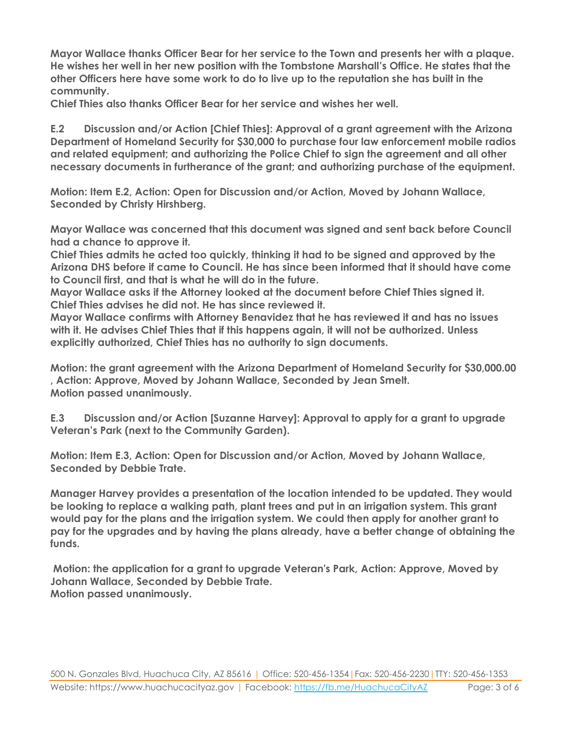**Mayor Wallace thanks Officer Bear for her service to the Town and presents her with a plaque. He wishes her well in her new position with the Tombstone Marshall's Office. He states that the other Officers here have some work to do to live up to the reputation she has built in the community.** 

**Chief Thies also thanks Officer Bear for her service and wishes her well.**

**E.2 Discussion and/or Action [Chief Thies]: Approval of a grant agreement with the Arizona Department of Homeland Security for \$30,000 to purchase four law enforcement mobile radios and related equipment; and authorizing the Police Chief to sign the agreement and all other necessary documents in furtherance of the grant; and authorizing purchase of the equipment.**

**Motion: Item E.2, Action: Open for Discussion and/or Action, Moved by Johann Wallace, Seconded by Christy Hirshberg.**

**Mayor Wallace was concerned that this document was signed and sent back before Council had a chance to approve it.** 

**Chief Thies admits he acted too quickly, thinking it had to be signed and approved by the Arizona DHS before if came to Council. He has since been informed that it should have come to Council first, and that is what he will do in the future.** 

**Mayor Wallace asks if the Attorney looked at the document before Chief Thies signed it. Chief Thies advises he did not. He has since reviewed it.** 

**Mayor Wallace confirms with Attorney Benavidez that he has reviewed it and has no issues with it. He advises Chief Thies that if this happens again, it will not be authorized. Unless explicitly authorized, Chief Thies has no authority to sign documents.** 

**Motion: the grant agreement with the Arizona Department of Homeland Security for \$30,000.00 , Action: Approve, Moved by Johann Wallace, Seconded by Jean Smelt. Motion passed unanimously.**

**E.3 Discussion and/or Action [Suzanne Harvey]: Approval to apply for a grant to upgrade Veteran's Park (next to the Community Garden).**

**Motion: Item E.3, Action: Open for Discussion and/or Action, Moved by Johann Wallace, Seconded by Debbie Trate.**

**Manager Harvey provides a presentation of the location intended to be updated. They would be looking to replace a walking path, plant trees and put in an irrigation system. This grant would pay for the plans and the irrigation system. We could then apply for another grant to pay for the upgrades and by having the plans already, have a better change of obtaining the funds.**

**Motion: the application for a grant to upgrade Veteran's Park, Action: Approve, Moved by Johann Wallace, Seconded by Debbie Trate. Motion passed unanimously.**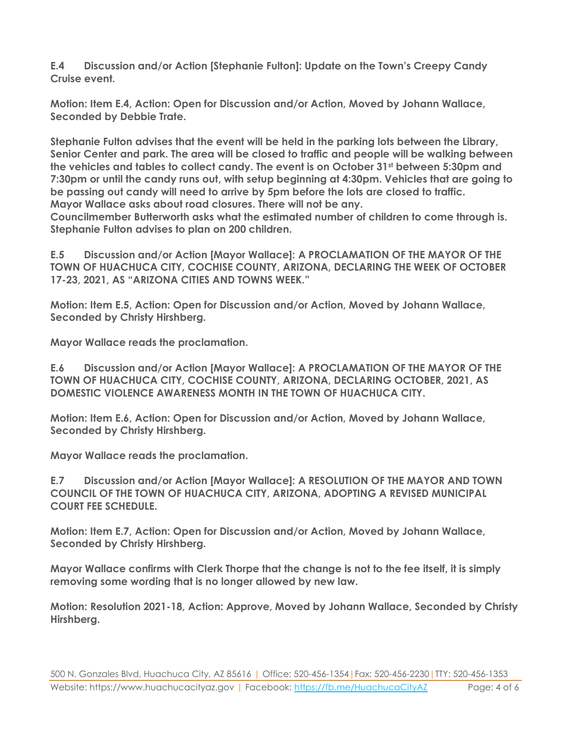**E.4 Discussion and/or Action [Stephanie Fulton]: Update on the Town's Creepy Candy Cruise event.**

**Motion: Item E.4, Action: Open for Discussion and/or Action, Moved by Johann Wallace, Seconded by Debbie Trate.**

**Stephanie Fulton advises that the event will be held in the parking lots between the Library, Senior Center and park. The area will be closed to traffic and people will be walking between the vehicles and tables to collect candy. The event is on October 31st between 5:30pm and 7:30pm or until the candy runs out, with setup beginning at 4:30pm. Vehicles that are going to be passing out candy will need to arrive by 5pm before the lots are closed to traffic. Mayor Wallace asks about road closures. There will not be any.** 

**Councilmember Butterworth asks what the estimated number of children to come through is. Stephanie Fulton advises to plan on 200 children.** 

**E.5 Discussion and/or Action [Mayor Wallace]: A PROCLAMATION OF THE MAYOR OF THE TOWN OF HUACHUCA CITY, COCHISE COUNTY, ARIZONA, DECLARING THE WEEK OF OCTOBER 17-23, 2021, AS "ARIZONA CITIES AND TOWNS WEEK."** 

**Motion: Item E.5, Action: Open for Discussion and/or Action, Moved by Johann Wallace, Seconded by Christy Hirshberg.**

**Mayor Wallace reads the proclamation.**

**E.6 Discussion and/or Action [Mayor Wallace]: A PROCLAMATION OF THE MAYOR OF THE TOWN OF HUACHUCA CITY, COCHISE COUNTY, ARIZONA, DECLARING OCTOBER, 2021, AS DOMESTIC VIOLENCE AWARENESS MONTH IN THE TOWN OF HUACHUCA CITY.**

**Motion: Item E.6, Action: Open for Discussion and/or Action, Moved by Johann Wallace, Seconded by Christy Hirshberg.**

**Mayor Wallace reads the proclamation.**

**E.7 Discussion and/or Action [Mayor Wallace]: A RESOLUTION OF THE MAYOR AND TOWN COUNCIL OF THE TOWN OF HUACHUCA CITY, ARIZONA, ADOPTING A REVISED MUNICIPAL COURT FEE SCHEDULE.**

**Motion: Item E.7, Action: Open for Discussion and/or Action, Moved by Johann Wallace, Seconded by Christy Hirshberg.**

**Mayor Wallace confirms with Clerk Thorpe that the change is not to the fee itself, it is simply removing some wording that is no longer allowed by new law.**

**Motion: Resolution 2021-18, Action: Approve, Moved by Johann Wallace, Seconded by Christy Hirshberg.**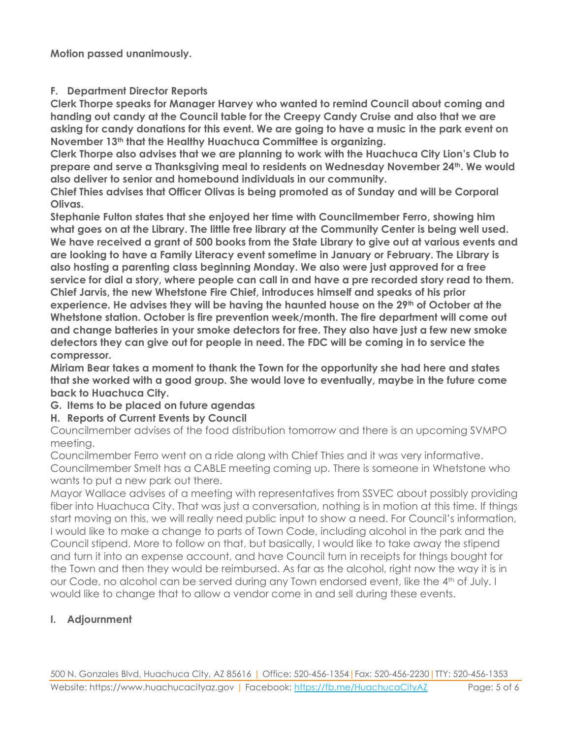**Motion passed unanimously.**

#### **F. Department Director Reports**

**Clerk Thorpe speaks for Manager Harvey who wanted to remind Council about coming and handing out candy at the Council table for the Creepy Candy Cruise and also that we are asking for candy donations for this event. We are going to have a music in the park event on November 13th that the Healthy Huachuca Committee is organizing.** 

**Clerk Thorpe also advises that we are planning to work with the Huachuca City Lion's Club to prepare and serve a Thanksgiving meal to residents on Wednesday November 24th. We would also deliver to senior and homebound individuals in our community.**

**Chief Thies advises that Officer Olivas is being promoted as of Sunday and will be Corporal Olivas.** 

**Stephanie Fulton states that she enjoyed her time with Councilmember Ferro, showing him what goes on at the Library. The little free library at the Community Center is being well used. We have received a grant of 500 books from the State Library to give out at various events and are looking to have a Family Literacy event sometime in January or February. The Library is also hosting a parenting class beginning Monday. We also were just approved for a free service for dial a story, where people can call in and have a pre recorded story read to them. Chief Jarvis, the new Whetstone Fire Chief, introduces himself and speaks of his prior experience. He advises they will be having the haunted house on the 29th of October at the Whetstone station. October is fire prevention week/month. The fire department will come out and change batteries in your smoke detectors for free. They also have just a few new smoke detectors they can give out for people in need. The FDC will be coming in to service the compressor.** 

**Miriam Bear takes a moment to thank the Town for the opportunity she had here and states that she worked with a good group. She would love to eventually, maybe in the future come back to Huachuca City.**

#### **G. Items to be placed on future agendas**

#### **H. Reports of Current Events by Council**

Councilmember advises of the food distribution tomorrow and there is an upcoming SVMPO meeting.

Councilmember Ferro went on a ride along with Chief Thies and it was very informative. Councilmember Smelt has a CABLE meeting coming up. There is someone in Whetstone who wants to put a new park out there.

Mayor Wallace advises of a meeting with representatives from SSVEC about possibly providing fiber into Huachuca City. That was just a conversation, nothing is in motion at this time. If things start moving on this, we will really need public input to show a need. For Council's information, I would like to make a change to parts of Town Code, including alcohol in the park and the Council stipend. More to follow on that, but basically, I would like to take away the stipend and turn it into an expense account, and have Council turn in receipts for things bought for the Town and then they would be reimbursed. As far as the alcohol, right now the way it is in our Code, no alcohol can be served during any Town endorsed event, like the 4<sup>th</sup> of July. I would like to change that to allow a vendor come in and sell during these events.

#### **I. Adjournment**